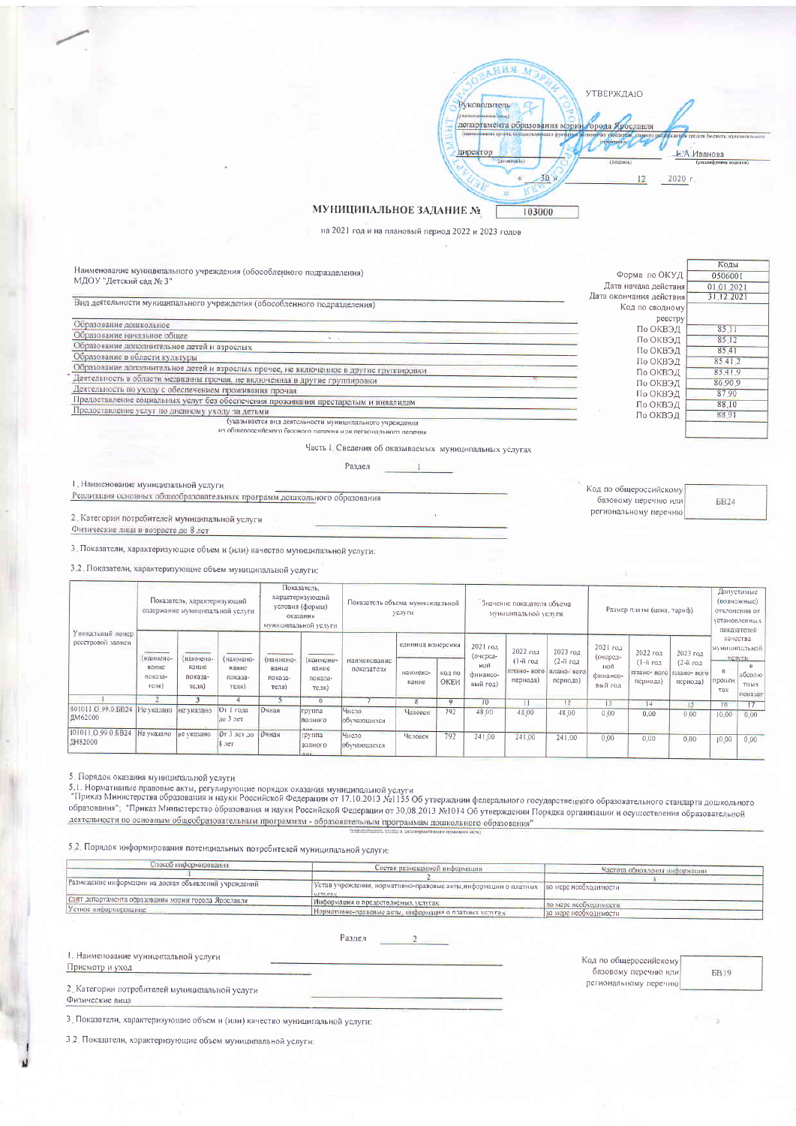

## МУНИЦИПАЛЬНОЕ ЗАДАНИЕ №

на 2021 год и на плановый период 2022 и 2023 годов

|                                                                                                |                         | Коды       |
|------------------------------------------------------------------------------------------------|-------------------------|------------|
| Наименование муниципального учреждения (обособленного подразделения)<br>МДОУ "Детский сад № 3" | Форма по ОКУД           | 0506001    |
|                                                                                                | Дата начала действия    | 01.01.2021 |
|                                                                                                | Дата окончания действия | 31.12.2021 |
| Вид деятельности муниципального учреждения (обособленного подразделения)                       | Код по сводному         |            |
|                                                                                                | реестру                 |            |
| Образование дошкольное                                                                         | По ОКВЭД                | 85.11      |
| Образование начальное общее                                                                    | По ОКВЭД                | 85.12      |
| Образование дополнительное детей и взрослых                                                    | По ОКВЭД                | 85.41      |
| Образование в области культуры                                                                 | По ОКВЭД                | 85 4 1 2   |
| Образование дополнительное детей и взрослых прочее, не включенное в другие группировки         | По ОКВЭД                | 8541.9     |
| Деятельность в области медицины прочая, не включенная в другие группировки                     | По ОКВЭД                | 86.90.9    |
| Деятельность по уходу с обеспечением проживания прочая                                         | По ОКВЭД                | 87.90      |
| Предоставление социальных услуг без обеспечения проживания престарелым и инвалидам             | По ОКВЭД                | 88.10      |
| Предоставление услуг по дневному уходу за детьми                                               | По ОКВЭД                | 88.91      |
| (указывается вид деятельности муниципального учреждения                                        |                         |            |
| из общероссийского базового пелечня или вегионального пелечни                                  |                         |            |
| Часть I. Сведения об оказываемых муниципальных услугах                                         |                         |            |
| Разлел                                                                                         |                         |            |

І. Наименование муниципальной услуги

Реализация основных общеобразовательных программ дошкольного образования

2. Категории потребителей муниципальной услуги Физические лица в возрасте до 8 лет

3. Показатели, характеризующие объем и (или) качество муниципальной услуги:

3.2. Показатели, характеризующие объем муниципальной услуги:

| Уникальный номер<br>реестровой залиси     | Показатель, характеризующий<br>содержание муниципальной услуги                                                                                                                                                                                                                             |                                        |                                                             | Показатель.<br>характеризующий<br>условия (формы)<br>оказания<br>муниципальной услуги |                                        | Показатель объема муниципальной<br>услуги |                                        |                        | Значение показателя объема<br>муниципальной услуги  |                                                 |                                                 | Размер платы (цена, тариф)                              |                                                 |                                                 | Допустимые<br>(возможные)<br>ОТКЛОНСНИЯ ОТ<br>установленных!<br>показателей |                                                           |
|-------------------------------------------|--------------------------------------------------------------------------------------------------------------------------------------------------------------------------------------------------------------------------------------------------------------------------------------------|----------------------------------------|-------------------------------------------------------------|---------------------------------------------------------------------------------------|----------------------------------------|-------------------------------------------|----------------------------------------|------------------------|-----------------------------------------------------|-------------------------------------------------|-------------------------------------------------|---------------------------------------------------------|-------------------------------------------------|-------------------------------------------------|-----------------------------------------------------------------------------|-----------------------------------------------------------|
|                                           | <b><i><u>Program and Contract and Contract and Contract and Contract and Contract and Contract and Contract and Contract and Contract and Contract and Contract and Contract and Contract and Contract and Contract and Contract and</u></i></b><br>(наимено-<br>вание<br>показа-<br>теля) | (ипимено-<br>вание<br>показа-<br>теля) | <b>CONTRACTOR</b><br>(наимено-<br>ванис<br>показа-<br>теля) | (наимено-<br>вание<br>показа-<br>теля)                                                | (наимено-<br>ванне<br>показа-<br>теля) | наименование<br>показателя                | единица измерения<br>наимено-<br>вание | <b>KO.1 NO</b><br>ОКЕИ | 2021 год<br>(очеред-<br>ной<br>финансо-<br>вый год) | 2022 год<br>(1-й год<br>плано- вого<br>периода) | 2023 год<br>(2-й год<br>плано- вого<br>периода) | $2021$ ro $a$<br>(очеред-<br>ной<br>финансо-<br>вый год | 2022 roa<br>(1-й год<br>плано- вого<br>периода) | 2023 год<br>(2-й год<br>плано- ного<br>периода] | процен<br>Tax                                                               | качества<br>муниципальной<br>SIGHTYPIS.<br>абсолю<br>тных |
|                                           |                                                                                                                                                                                                                                                                                            |                                        |                                                             |                                                                                       | <sub>0</sub>                           |                                           |                                        |                        | ю                                                   |                                                 | 12                                              | 13                                                      | 4                                               | $\frac{15}{2}$                                  | 16                                                                          | показат<br>$17-1$                                         |
| 801011 О 99.0 БВ24 Не указано<br>JIM62000 |                                                                                                                                                                                                                                                                                            | не указано                             | От 1 года<br>до 3 лет                                       | Очная                                                                                 | группа<br>полного<br><b>HARR</b>       | Число<br>обучающихся                      | Человек                                | 792                    | 48.00                                               | 48.00                                           | 48.00                                           | 0.00                                                    | 0,00                                            | 0.00                                            | 10,00                                                                       | 0,00                                                      |
| 801011.O.99.0.6B24<br>ДН82000             | Не указано   не указано                                                                                                                                                                                                                                                                    |                                        | $0T$ 3 лет до<br>8.1er                                      | Очная                                                                                 | группа<br>полного                      | Число<br>обучающихся                      | Человек                                | 792                    | 241.00                                              | 241.00                                          | 241.00                                          | 0.00                                                    | 0.00                                            | 0.00                                            | 10.00                                                                       | 0.00                                                      |

5. Порядок оказания муниципальной услуги

осторовления мунициального услуги.<br>5.1. Нормативные правовые акты, регулирующие порядок оказания муниципальной услуги<br>"Приказ Министерства образования и науки Российской Федерации от 17.10.2013 №1155 Об утвержднии федерал - прималитикторска образования и науки госсиномой жесерении от этотеля с со утверждени с годарственного образования» образования и паркитов.<br>Образования", "Приказ Министерство образования и науки Российской Федерации от деятельности по основным общеобразовательным программам - образовательным программам дошкольного образования"

5.2. Порядок информирования потенциальных потребителей муниципальной услуги:

| Способ информирования                                 | Состав размешаемой информации                                                             |                               |  |  |
|-------------------------------------------------------|-------------------------------------------------------------------------------------------|-------------------------------|--|--|
|                                                       |                                                                                           | Частота обновления информации |  |  |
| Размещение информации на досках объявлений учреждений | [Устав учреждения, нормативно-правовые акты, информации о платных   по мере необходимости |                               |  |  |
| Сайт департамента образования мэрии города Ярославля  | Информация о предоствляемых услугах                                                       | по мере необходимости.        |  |  |
| Устное информирование                                 | Нормативно-правовые дкты, информация о платных услугах                                    | По мере необходимости -       |  |  |

Раздел  $\overline{2}$ 

## 1. Наименование муниципальной услуги

Присмотр и уход

2. Категории потребителей муниципальной услуги Физические лица

3. Показатели, характеризующие объем и (или) качество муниципальной услуги:

3.2. Показатели, характеризующие объем муниципальной услуги:

**6819** 

Код по общероссийскому

региональному перечню

базовому перечню или

**6824**